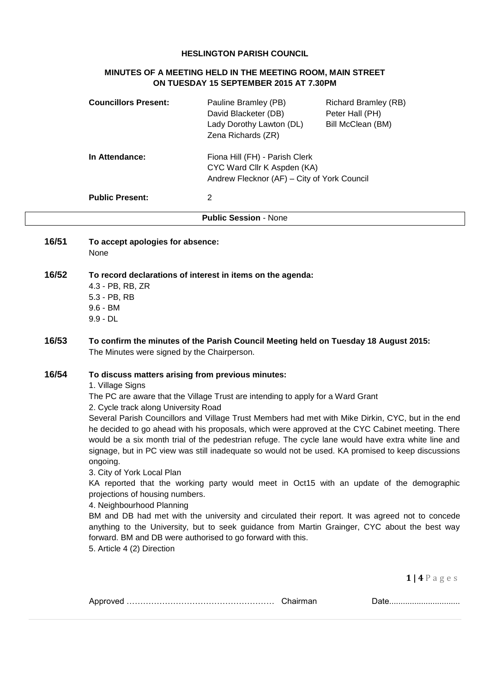#### **HESLINGTON PARISH COUNCIL**

## **MINUTES OF A MEETING HELD IN THE MEETING ROOM, MAIN STREET ON TUESDAY 15 SEPTEMBER 2015 AT 7.30PM**

|       | <b>Councillors Present:</b>                                                                                                                                                                                                                           | Pauline Bramley (PB)<br>David Blacketer (DB)<br>Lady Dorothy Lawton (DL)<br>Zena Richards (ZR)                                                 | <b>Richard Bramley (RB)</b><br>Peter Hall (PH)<br>Bill McClean (BM)                                                                                                                                                                                                                                                                                                                                                                                                                                                                                                                                                                                                                                                 |
|-------|-------------------------------------------------------------------------------------------------------------------------------------------------------------------------------------------------------------------------------------------------------|------------------------------------------------------------------------------------------------------------------------------------------------|---------------------------------------------------------------------------------------------------------------------------------------------------------------------------------------------------------------------------------------------------------------------------------------------------------------------------------------------------------------------------------------------------------------------------------------------------------------------------------------------------------------------------------------------------------------------------------------------------------------------------------------------------------------------------------------------------------------------|
|       | In Attendance:                                                                                                                                                                                                                                        | Fiona Hill (FH) - Parish Clerk<br>CYC Ward Cllr K Aspden (KA)<br>Andrew Flecknor (AF) - City of York Council                                   |                                                                                                                                                                                                                                                                                                                                                                                                                                                                                                                                                                                                                                                                                                                     |
|       | <b>Public Present:</b>                                                                                                                                                                                                                                | $\overline{2}$                                                                                                                                 |                                                                                                                                                                                                                                                                                                                                                                                                                                                                                                                                                                                                                                                                                                                     |
|       |                                                                                                                                                                                                                                                       | <b>Public Session - None</b>                                                                                                                   |                                                                                                                                                                                                                                                                                                                                                                                                                                                                                                                                                                                                                                                                                                                     |
| 16/51 | To accept apologies for absence:<br>None                                                                                                                                                                                                              |                                                                                                                                                |                                                                                                                                                                                                                                                                                                                                                                                                                                                                                                                                                                                                                                                                                                                     |
| 16/52 | 4.3 - PB, RB, ZR<br>5.3 - PB, RB<br>$9.6 - BM$<br>$9.9 - DL$                                                                                                                                                                                          | To record declarations of interest in items on the agenda:                                                                                     |                                                                                                                                                                                                                                                                                                                                                                                                                                                                                                                                                                                                                                                                                                                     |
| 16/53 | The Minutes were signed by the Chairperson.                                                                                                                                                                                                           | To confirm the minutes of the Parish Council Meeting held on Tuesday 18 August 2015:                                                           |                                                                                                                                                                                                                                                                                                                                                                                                                                                                                                                                                                                                                                                                                                                     |
| 16/54 | To discuss matters arising from previous minutes:<br>1. Village Signs<br>2. Cycle track along University Road<br>ongoing.<br>3. City of York Local Plan<br>projections of housing numbers.<br>4. Neighbourhood Planning<br>5. Article 4 (2) Direction | The PC are aware that the Village Trust are intending to apply for a Ward Grant<br>forward. BM and DB were authorised to go forward with this. | Several Parish Councillors and Village Trust Members had met with Mike Dirkin, CYC, but in the end<br>he decided to go ahead with his proposals, which were approved at the CYC Cabinet meeting. There<br>would be a six month trial of the pedestrian refuge. The cycle lane would have extra white line and<br>signage, but in PC view was still inadequate so would not be used. KA promised to keep discussions<br>KA reported that the working party would meet in Oct15 with an update of the demographic<br>BM and DB had met with the university and circulated their report. It was agreed not to concede<br>anything to the University, but to seek guidance from Martin Grainger, CYC about the best way |
|       |                                                                                                                                                                                                                                                       |                                                                                                                                                | $1   4 P$ a g e s                                                                                                                                                                                                                                                                                                                                                                                                                                                                                                                                                                                                                                                                                                   |

|  |  | <u> UUW</u> |
|--|--|-------------|
|--|--|-------------|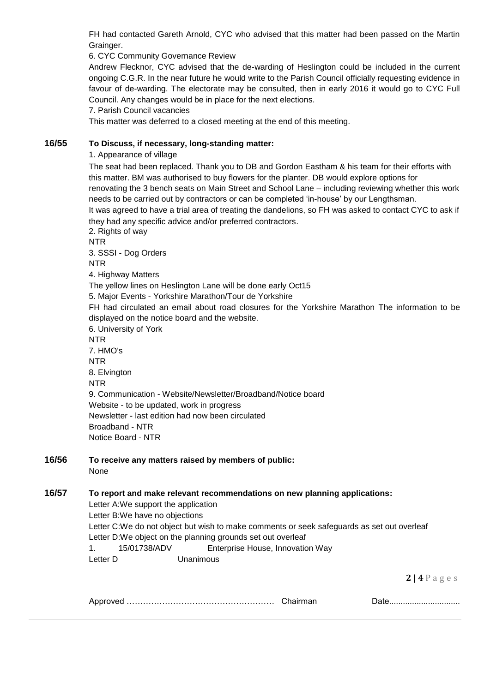FH had contacted Gareth Arnold, CYC who advised that this matter had been passed on the Martin Grainger.

6. CYC Community Governance Review

Andrew Flecknor, CYC advised that the de-warding of Heslington could be included in the current ongoing C.G.R. In the near future he would write to the Parish Council officially requesting evidence in favour of de-warding. The electorate may be consulted, then in early 2016 it would go to CYC Full Council. Any changes would be in place for the next elections.

7. Parish Council vacancies

This matter was deferred to a closed meeting at the end of this meeting.

#### **16/55 To Discuss, if necessary, long-standing matter:**

1. Appearance of village

The seat had been replaced. Thank you to DB and Gordon Eastham & his team for their efforts with this matter. BM was authorised to buy flowers for the planter. DB would explore options for renovating the 3 bench seats on Main Street and School Lane – including reviewing whether this work needs to be carried out by contractors or can be completed 'in-house' by our Lengthsman.

It was agreed to have a trial area of treating the dandelions, so FH was asked to contact CYC to ask if they had any specific advice and/or preferred contractors.

2. Rights of way

NTR 3. SSSI - Dog Orders

**NTR** 

4. Highway Matters

The yellow lines on Heslington Lane will be done early Oct15

5. Major Events - Yorkshire Marathon/Tour de Yorkshire

FH had circulated an email about road closures for the Yorkshire Marathon The information to be displayed on the notice board and the website.

6. University of York NTR

7. HMO's

NTR

8. Elvington

**NTR** 

9. Communication - Website/Newsletter/Broadband/Notice board Website - to be updated, work in progress Newsletter - last edition had now been circulated Broadband - NTR

Notice Board - NTR

| 16/56 | To receive any matters raised by members of public: |
|-------|-----------------------------------------------------|
|       | <b>None</b>                                         |

# **16/57 To report and make relevant recommendations on new planning applications:**

Letter A:We support the application

Letter B:We have no objections

Letter C:We do not object but wish to make comments or seek safeguards as set out overleaf Letter D:We object on the planning grounds set out overleaf

1. 15/01738/ADV Enterprise House, Innovation Way

Letter D Unanimous

**2 | 4** P a g e s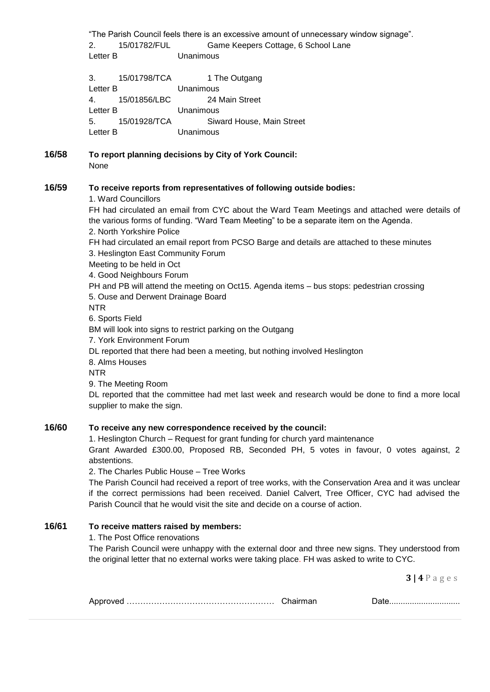"The Parish Council feels there is an excessive amount of unnecessary window signage". 2. 15/01782/FUL Game Keepers Cottage, 6 School Lane Letter B Unanimous

3. 15/01798/TCA 1 The Outgang Letter B Unanimous 4. 15/01856/LBC 24 Main Street Letter B Unanimous 5. 15/01928/TCA Siward House, Main Street Letter B Unanimous

**16/58 To report planning decisions by City of York Council:** None

## **16/59 To receive reports from representatives of following outside bodies:**

1. Ward Councillors

FH had circulated an email from CYC about the Ward Team Meetings and attached were details of the various forms of funding. "Ward Team Meeting" to be a separate item on the Agenda. 2. North Yorkshire Police FH had circulated an email report from PCSO Barge and details are attached to these minutes 3. Heslington East Community Forum Meeting to be held in Oct 4. Good Neighbours Forum PH and PB will attend the meeting on Oct15. Agenda items – bus stops: pedestrian crossing 5. Ouse and Derwent Drainage Board NTR 6. Sports Field BM will look into signs to restrict parking on the Outgang 7. York Environment Forum DL reported that there had been a meeting, but nothing involved Heslington 8. Alms Houses NTR 9. The Meeting Room DL reported that the committee had met last week and research would be done to find a more local supplier to make the sign.

# **16/60 To receive any new correspondence received by the council:**

1. Heslington Church – Request for grant funding for church yard maintenance

Grant Awarded £300.00, Proposed RB, Seconded PH, 5 votes in favour, 0 votes against, 2 abstentions.

2. The Charles Public House – Tree Works

The Parish Council had received a report of tree works, with the Conservation Area and it was unclear if the correct permissions had been received. Daniel Calvert, Tree Officer, CYC had advised the Parish Council that he would visit the site and decide on a course of action.

## **16/61 To receive matters raised by members:**

1. The Post Office renovations

The Parish Council were unhappy with the external door and three new signs. They understood from the original letter that no external works were taking place. FH was asked to write to CYC.

**3 | 4** P a g e s

|--|--|--|